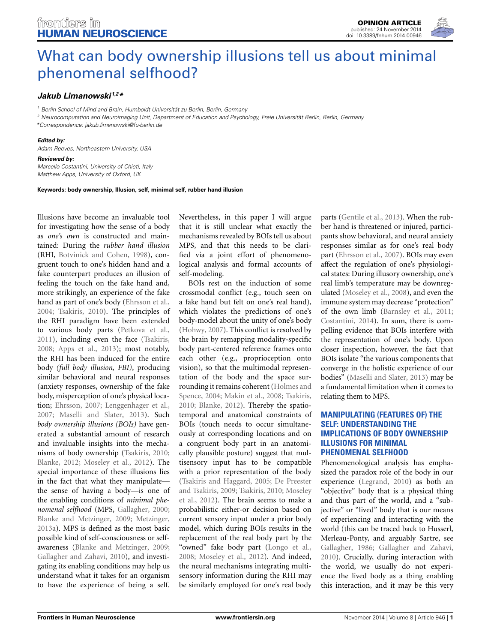

# [What can body ownership illusions tell us about minimal](http://www.frontiersin.org/journal/10.3389/fnhum.2014.00946/full) phenomenal selfhood?

## *[Jakub Limanowski](http://community.frontiersin.org/people/u/74619) 1,2\**

*<sup>1</sup> Berlin School of Mind and Brain, Humboldt-Universität zu Berlin, Berlin, Germany*

*<sup>2</sup> Neurocomputation and Neuroimaging Unit, Department of Education and Psychology, Freie Universität Berlin, Berlin, Germany \*Correspondence: [jakub.limanowski@fu-berlin.de](mailto:jakub.limanowski@fu-berlin.de)*

#### *Edited by:*

*Adam Reeves, Northeastern University, USA*

#### *Reviewed by:*

*Marcello Costantini, University of Chieti, Italy Matthew Apps, University of Oxford, UK*

**Keywords: body ownership, Illusion, self, minimal self, rubber hand illusion**

Illusions have become an invaluable tool for investigating how the sense of a body as *one's own* is constructed and maintained: During the *rubber hand illusion* (RHI, [Botvinick and Cohen, 1998](#page-2-0)), congruent touch to one's hidden hand and a fake counterpart produces an illusion of feeling the touch on the fake hand and, more strikingly, an experience of the fake hand as part of one's body [\(Ehrsson et al.,](#page-2-1) [2004](#page-2-1); [Tsakiris, 2010](#page-3-0)). The principles of the RHI paradigm have been extended to various body parts [\(Petkova et al.,](#page-2-2) [2011](#page-2-2)), including even the face [\(Tsakiris,](#page-3-1) [2008](#page-3-1); [Apps et al.](#page-2-3), [2013\)](#page-2-3); most notably, the RHI has been induced for the entire body *(full body illusion, FBI)*, producing similar behavioral and neural responses (anxiety responses, ownership of the fake body, misperception of one's physical location; [Ehrsson](#page-2-4), [2007;](#page-2-4) [Lenggenhager et al.,](#page-2-5) [2007](#page-2-5); [Maselli and Slater](#page-2-6), [2013](#page-2-6)). Such *body ownership illusions (BOIs)* have generated a substantial amount of research and invaluable insights into the mechanisms of body ownership [\(Tsakiris, 2010;](#page-3-0) [Blanke, 2012](#page-2-7); [Moseley et al., 2012](#page-2-8)). The special importance of these illusions lies in the fact that what they manipulate the sense of having a body—is one of the enabling conditions of *minimal phenomenal selfhood* (MPS, [Gallagher](#page-2-9), [2000;](#page-2-9) [Blanke and Metzinger](#page-2-10), [2009](#page-2-10); [Metzinger,](#page-2-11) [2013a\)](#page-2-11). MPS is defined as the most basic possible kind of self-consciousness or selfawareness [\(Blanke and Metzinger, 2009;](#page-2-10) [Gallagher and Zahavi](#page-2-12), [2010\)](#page-2-12), and investigating its enabling conditions may help us understand what it takes for an organism to have the experience of being a self.

Nevertheless, in this paper I will argue that it is still unclear what exactly the mechanisms revealed by BOIs tell us about MPS, and that this needs to be clarified via a joint effort of phenomenological analysis and formal accounts of self-modeling.

BOIs rest on the induction of some crossmodal conflict (e.g., touch seen on a fake hand but felt on one's real hand), which violates the predictions of one's body-model about the unity of one's body [\(Hohwy](#page-2-13), [2007\)](#page-2-13). This conflict is resolved by the brain by remapping modality-specific body part-centered reference frames onto each other (e.g., proprioception onto vision), so that the multimodal representation of the body and the space surroundi[ng it remains coherent \(](#page-2-14)Holmes and Spence, [2004](#page-2-14); [Makin et al.](#page-2-15), [2008](#page-2-15); [Tsakiris,](#page-3-0) [2010](#page-3-0); [Blanke](#page-2-7), [2012](#page-2-7)). Thereby the spatiotemporal and anatomical constraints of BOIs (touch needs to occur simultaneously at corresponding locations and on a congruent body part in an anatomically plausible posture) suggest that multisensory input has to be compatible with a prior representation of the body [\(Tsakiris and Haggard, 2005;](#page-3-2) De Preester and [Tsakiris,](#page-2-8) [2009;](#page-2-16) [Tsakiris](#page-3-0)[,](#page-2-8) [2010](#page-3-0)[;](#page-2-8) Moseley et al., [2012\)](#page-2-8). The brain seems to make a probabilistic either-or decision based on current sensory input under a prior body model, which during BOIs results in the replacement of the real body part by the "owned" fake body part [\(Longo et al.,](#page-2-17) [2008](#page-2-17); [Moseley et al., 2012](#page-2-8)). And indeed, the neural mechanisms integrating multisensory information during the RHI may be similarly employed for one's real body parts [\(Gentile et al.](#page-2-18), [2013](#page-2-18)). When the rubber hand is threatened or injured, participants show behavioral, and neural anxiety responses similar as for one's real body part [\(Ehrsson et al., 2007](#page-2-19)). BOIs may even affect the regulation of one's physiological states: During illusory ownership, one's real limb's temperature may be downregulated [\(Moseley et al.](#page-2-20), [2008](#page-2-20)), and even the immune system may decrease "protection" of the own limb [\(Barnsley et al.](#page-2-21), [2011;](#page-2-21) [Costantini](#page-2-22), [2014](#page-2-22)). In sum, there is compelling evidence that BOIs interfere with the representation of one's body. Upon closer inspection, however, the fact that BOIs isolate "the various components that converge in the holistic experience of our bodies" [\(Maselli and Slater, 2013\)](#page-2-6) may be a fundamental limitation when it comes to relating them to MPS.

## **MANIPULATING (FEATURES OF) THE SELF: UNDERSTANDING THE IMPLICATIONS OF BODY OWNERSHIP ILLUSIONS FOR MINIMAL PHENOMENAL SELFHOOD**

Phenomenological analysis has emphasized the paradox role of the body in our experience [\(Legrand, 2010\)](#page-2-23) as both an "objective" body that is a physical thing and thus part of the world, and a "subjective" or "lived" body that is our means of experiencing and interacting with the world (this can be traced back to Husserl, Merleau-Ponty, and arguably Sartre, see [Gallagher, 1986;](#page-2-24) [Gallagher and Zahavi,](#page-2-12) [2010](#page-2-12)). Crucially, during interaction with the world, we usually do not experience the lived body as a thing enabling this interaction, and it may be this very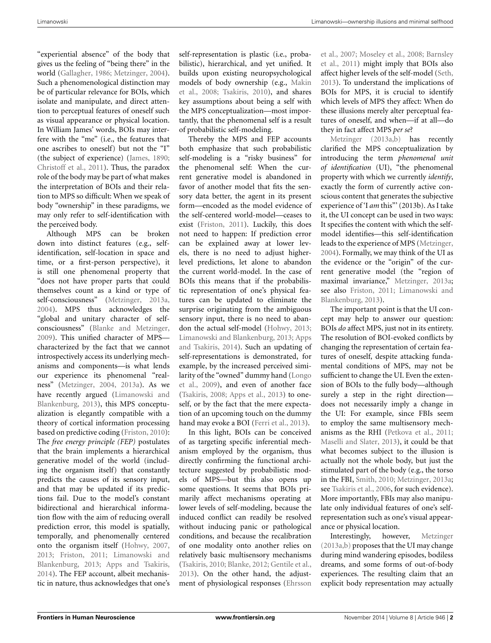"experiential absence" of the body that gives us the feeling of "being there" in the world [\(Gallagher](#page-2-24), [1986](#page-2-24); [Metzinger, 2004](#page-2-25)). Such a phenomenological distinction may be of particular relevance for BOIs, which isolate and manipulate, and direct attention to perceptual features of oneself such as visual appearance or physical location. In William James' words, BOIs may interfere with the "me" (i.e., the features that one ascribes to oneself) but not the "I" (the subject of experience) [\(James](#page-2-26), [1890;](#page-2-26) [Christoff et al., 2011\)](#page-2-27). Thus, the paradox role of the body may be part of what makes the interpretation of BOIs and their relation to MPS so difficult: When we speak of body "ownership" in these paradigms, we may only refer to self-identification with the perceived body.

Although MPS can be broken down into distinct features (e.g., selfidentification, self-location in space and time, or a first-person perspective), it is still one phenomenal property that "does not have proper parts that could themselves count as a kind or type of self-consciousness" [\(Metzinger, 2013a,](#page-2-11) [2004](#page-2-25)). MPS thus acknowledges the "global and unitary character of selfconsciousness" [\(Blanke and Metzinger,](#page-2-10) [2009](#page-2-10)). This unified character of MPS characterized by the fact that we cannot introspectively access its underlying mechanisms and components—is what lends our experience its phenomenal "realness" [\(Metzinger, 2004,](#page-2-25) [2013a](#page-2-11)). As we have recentl[y](#page-2-28) [argued](#page-2-28) [\(](#page-2-28)Limanowski and Blankenburg, [2013](#page-2-28)), this MPS conceptualization is elegantly compatible with a theory of cortical information processing based on predictive coding [\(Friston, 2010](#page-2-29)): The *free energy principle (FEP)* postulates that the brain implements a hierarchical generative model of the world (including the organism itself) that constantly predicts the causes of its sensory input, and that may be updated if its predictions fail. Due to the model's constant bidirectional and hierarchical information flow with the aim of reducing overall prediction error, this model is spatially, temporally, and phenomenally centered onto the organism itself [\(Hohwy](#page-2-13), [2007,](#page-2-13) [2013](#page-2-30); [Friston](#page-2-31)[,](#page-2-28) [2011](#page-2-31)[;](#page-2-28) Limanowski and Blankenburg, [2013](#page-2-28); [Apps and Tsakiris,](#page-2-32) [2014](#page-2-32)). The FEP account, albeit mechanistic in nature, thus acknowledges that one's

self-representation is plastic (i.e., probabilistic), hierarchical, and yet unified. It builds upon existing neuropsychological mod[els](#page-2-15) [of](#page-2-15) [body](#page-2-15) [ownership](#page-2-15) [\(e.g.,](#page-2-15) Makin et al., [2008](#page-2-15); [Tsakiris](#page-3-0), [2010\)](#page-3-0), and shares key assumptions about being a self with the MPS conceptualization—most importantly, that the phenomenal self is a result of probabilistic self-modeling.

Thereby the MPS and FEP accounts both emphasize that such probabilistic self-modeling is a "risky business" for the phenomenal self: When the current generative model is abandoned in favor of another model that fits the sensory data better, the agent in its present form—encoded as the model evidence of the self-centered world-model—ceases to exist [\(Friston](#page-2-31), [2011\)](#page-2-31). Luckily, this does not need to happen: If prediction error can be explained away at lower levels, there is no need to adjust higherlevel predictions, let alone to abandon the current world-model. In the case of BOIs this means that if the probabilistic representation of one's physical features can be updated to eliminate the surprise originating from the ambiguous sensory input, there is no need to abandon the actual self-model [\(Hohwy, 2013](#page-2-30); [Limanowski and Blankenburg](#page-2-28)[,](#page-2-32) [2013](#page-2-28)[;](#page-2-32) Apps and Tsakiris, [2014](#page-2-32)). Such an updating of self-representations is demonstrated, for example, by the increased perceived similarity [of the "owned" dummy hand \(](#page-2-33)Longo et al., [2009](#page-2-33)), and even of another face [\(Tsakiris, 2008](#page-3-1); [Apps et al., 2013](#page-2-3)) to oneself, or by the fact that the mere expectation of an upcoming touch on the dummy hand may evoke a BOI [\(Ferri et al.](#page-2-34), [2013\)](#page-2-34).

In this light, BOIs can be conceived of as targeting specific inferential mechanism employed by the organism, thus directly confirming the functional architecture suggested by probabilistic models of MPS—but this also opens up some questions. It seems that BOIs primarily affect mechanisms operating at lower levels of self-modeling, because the induced conflict can readily be resolved without inducing panic or pathological conditions, and because the recalibration of one modality onto another relies on relatively basic multisensory mechanisms [\(Tsakiris, 2010](#page-3-0); [Blanke, 2012](#page-2-7); [Gentile et al.](#page-2-18), [2013](#page-2-18)). On the other hand, the adjustment of physiological responses (Ehrsson

et al.[,](#page-2-21) [2007](#page-2-19)[;](#page-2-21) [Moseley et al.](#page-2-20)[,](#page-2-21) [2008](#page-2-20)[;](#page-2-21) Barnsley et al., [2011](#page-2-21)) might imply that BOIs also affect higher levels of the self-model [\(Seth](#page-2-35), [2013](#page-2-35)). To understand the implications of BOIs for MPS, it is crucial to identify which levels of MPS they affect: When do these illusions merely alter perceptual features of oneself, and when—if at all—do [they](#page-2-11) [in](#page-2-11) [fact](#page-2-11) [af](#page-2-11)fect MPS *per se*?

Metzinger [\(2013a](#page-2-11)[,b\)](#page-2-36) has recently clarified the MPS conceptualization by introducing the term *phenomenal unit of identification* (UI), "the phenomenal property with which we currently *identify*, exactly the form of currently active conscious content that generates the subjective experience of 'I *am* this"' (2013b). As I take it, the UI concept can be used in two ways: It specifies the content with which the selfmodel identifies—this self-identification leads to the experience of MPS [\(Metzinger](#page-2-25), [2004](#page-2-25)). Formally, we may think of the UI as the evidence or the "origin" of the current generative model (the "region of maximal invariance," [Metzinger](#page-2-11), [2013a](#page-2-11); see also [Friston](#page-2-31)[,](#page-2-28) [2011](#page-2-31)[;](#page-2-28) Limanowski and Blankenburg, [2013\)](#page-2-28).

The important point is that the UI concept may help to answer our question: BOIs *do* affect MPS, just not in its entirety. The resolution of BOI-evoked conflicts by changing the representation of certain features of oneself, despite attacking fundamental conditions of MPS, may not be sufficient to change the UI. Even the extension of BOIs to the fully body—although surely a step in the right direction does not necessarily imply a change in the UI: For example, since FBIs seem to employ the same multisensory mechanisms as the RHI [\(Petkova et al.](#page-2-2), [2011](#page-2-2); [Maselli and Slater, 2013](#page-2-6)), it could be that what becomes subject to the illusion is actually not the whole body, but just the stimulated part of the body (e.g., the torso in the FBI, [Smith](#page-3-3), [2010](#page-3-3); [Metzinger](#page-2-11), [2013a](#page-2-11); see [Tsakiris et al.](#page-3-4), [2006,](#page-3-4) for such evidence). More importantly, FBIs may also manipulate only individual features of one's selfrepresentation such as one's visual appearance or physical location.

Interestingly, however, [Metzinger](#page-2-11) [\(2013a](#page-2-11)[,b](#page-2-36)) proposes that the UI may change during mind wandering episodes, bodiless dreams, and some forms of out-of-body experiences. The resulting claim that an explicit body representation may actually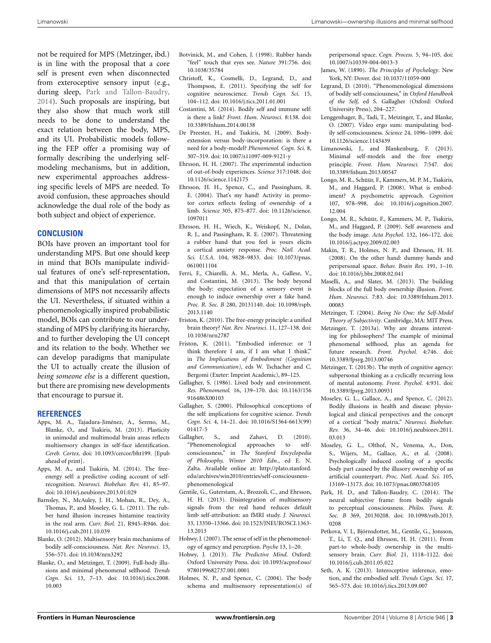not be required for MPS (Metzinger, ibd.) is in line with the proposal that a core self is present even when disconnected from exteroceptive sensory input (e.g., during sleep, [Park and Tallon-Baudry,](#page-2-37) [2014](#page-2-37)). Such proposals are inspiring, but they also show that much work still needs to be done to understand the exact relation between the body, MPS, and its UI. Probabilistic models following the FEP offer a promising way of formally describing the underlying selfmodeling mechanisms, but in addition, new experimental approaches addressing specific levels of MPS are needed. To avoid confusion, these approaches should acknowledge the dual role of the body as both subject and object of experience.

### **CONCLUSION**

BOIs have proven an important tool for understanding MPS. But one should keep in mind that BOIs manipulate individual features of one's self-representation, and that this manipulation of certain dimensions of MPS not necessarily affects the UI. Nevertheless, if situated within a phenomenologically inspired probabilistic model, BOIs can contribute to our understanding of MPS by clarifying its hierarchy, and to further developing the UI concept and its relation to the body. Whether we can develop paradigms that manipulate the UI to actually create the illusion of *being someone else* is a different question, but there are promising new developments that encourage to pursue it.

#### **REFERENCES**

- <span id="page-2-3"></span>Apps, M. A., Tajadura-Jiménez, A., Sereno, M., Blanke, O., and Tsakiris, M. (2013). Plasticity in unimodal and multimodal brain areas reflects multisensory changes in self-face identification. *Cereb. Cortex*. doi: 10.1093/cercor/bht199. [Epub ahead of print].
- <span id="page-2-32"></span>Apps, M. A., and Tsakiris, M. (2014). The freeenergy self: a predictive coding account of selfrecognition. *Neurosci. Biobehav. Rev.* 41, 85–97. doi: 10.1016/j.neubiorev.2013.01.029
- <span id="page-2-21"></span>Barnsley, N., McAuley, J. H., Mohan, R., Dey, A., Thomas, P., and Moseley, G. L. (2011). The rubber hand illusion increases histamine reactivity in the real arm. *Curr. Biol.* 21, R945–R946. doi: 10.1016/j.cub.2011.10.039
- <span id="page-2-7"></span>Blanke, O. (2012). Multisensory brain mechanisms of bodily self-consciousness. *Nat. Rev. Neurosci.* 13, 556–571. doi: 10.1038/nrn3292
- <span id="page-2-10"></span>Blanke, O., and Metzinger, T. (2009). Full-body illusions and minimal phenomenal selfhood. *Trends Cogn. Sci.* 13, 7–13. doi: 10.1016/j.tics.2008. 10.003
- <span id="page-2-0"></span>Botvinick, M., and Cohen, J. (1998). Rubber hands "feel" touch that eyes see. *Nature* 391:756. doi: 10.1038/35784
- <span id="page-2-27"></span>Christoff, K., Cosmelli, D., Legrand, D., and Thompson, E. (2011). Specifying the self for cognitive neuroscience. *Trends Cogn. Sci.* 15, 104–112. doi: 10.1016/j.tics.2011.01.001
- <span id="page-2-22"></span>Costantini, M. (2014). Bodily self and immune self: is there a link? *Front. Hum. Neurosci.* 8:138. doi: 10.3389/fnhum.2014.00138
- <span id="page-2-16"></span>De Preester, H., and Tsakiris, M. (2009). Bodyextension versus body-incorporation: is there a need for a body-model? *Phenomenol. Cogn. Sci.* 8, 307–319. doi: 10.1007/s11097-009-9121-y
- <span id="page-2-4"></span>Ehrsson, H. H. (2007). The experimental induction of out-of-body experiences. *Science* 317:1048. doi: 10.1126/science.1142175
- <span id="page-2-1"></span>Ehrsson, H. H., Spence, C., and Passingham, R. E. (2004). That's my hand! Activity in premotor cortex reflects feeling of ownership of a limb. *Science* 305, 875–877. doi: 10.1126/science. 1097011
- <span id="page-2-19"></span>Ehrsson, H. H., Wiech, K., Weiskopf, N., Dolan, R. J., and Passingham, R. E. (2007). Threatening a rubber hand that you feel is yours elicits a cortical anxiety response. *Proc. Natl. Acad. Sci. U.S.A.* 104, 9828–9833. doi: 10.1073/pnas. 0610011104
- <span id="page-2-34"></span>Ferri, F., Chiarelli, A. M., Merla, A., Gallese, V., and Costantini, M. (2013). The body beyond the body: expectation of a sensory event is enough to induce ownership over a fake hand. *Proc. R. Soc. B* 280, 20131140. doi: 10.1098/rspb. 2013.1140
- <span id="page-2-29"></span>Friston, K. (2010). The free-energy principle: a unified brain theory? *Nat. Rev. Neurosci.* 11, 127–138. doi: 10.1038/nrn2787
- <span id="page-2-31"></span>Friston, K. (2011). "Embodied inference: or 'I think therefore I am, if I am what I think'," in *The Implications of Embodiment (Cognition and Communication)*, eds W. Tschacher and C. Bergomi (Exeter: Imprint Academic), 89–125.
- <span id="page-2-24"></span>Gallagher, S. (1986). Lived body and environment. *Res. Phenomenol.* 16, 139–170. doi: 10.1163/156 916486X00103
- <span id="page-2-9"></span>Gallagher, S. (2000). Philosophical conceptions of the self: implications for cognitive science. *Trends Cogn. Sci.* 4, 14–21. doi: 10.1016/S1364-6613(99) 01417-5
- <span id="page-2-12"></span>Gallagher, S., and Zahavi, D. (2010). "Phenomenological approaches to selfconsciousness," in *The Stanford Encyclopedia of Philosophy, Winter 2010 Edn.*, ed E. N. Zalta. Available online at: [http://plato.stanford.](http://plato.stanford.edu/archives/win2010/entries/self-consciousness-phenomenological) [edu/archives/win2010/entries/self-consciousness](http://plato.stanford.edu/archives/win2010/entries/self-consciousness-phenomenological)[phenomenological](http://plato.stanford.edu/archives/win2010/entries/self-consciousness-phenomenological)
- <span id="page-2-18"></span>Gentile, G., Guterstam, A., Brozzoli, C., and Ehrsson, H. H. (2013). Disintegration of multisensory signals from the real hand reduces default limb self-attribution: an fMRI study. *J. Neurosci.* 33, 13350–13366. doi: 10.1523/JNEUROSCI.1363- 13.2013
- <span id="page-2-13"></span>Hohwy, J. (2007). The sense of self in the phenomenology of agency and perception. *Psyche* 13, 1–20.
- <span id="page-2-30"></span>Hohwy, J. (2013). *The Predictive Mind*. Oxford: Oxford University Press. doi: 10.1093/acprof:oso/ 9780199682737.001.0001
- <span id="page-2-14"></span>Holmes, N. P., and Spence, C. (2004). The body schema and multisensory representation(s) of

peripersonal space. *Cogn. Process.* 5, 94–105. doi: 10.1007/s10339-004-0013-3

- <span id="page-2-26"></span>James, W. (1890). *The Principles of Psychology*. New York, NY: Dover. doi: 10.1037/11059-000
- <span id="page-2-23"></span>Legrand, D. (2010). "Phenomenological dimensions of bodily self-consciousness," in *Oxford Handbook of the Self,* ed S. Gallagher (Oxford: Oxford University Press), 204–227.
- <span id="page-2-5"></span>Lenggenhager, B., Tadi, T., Metzinger, T., and Blanke, O. (2007). Video ergo sum: manipulating bodily self-consciousness. *Science* 24, 1096–1099. doi: 10.1126/science.1143439
- <span id="page-2-28"></span>Limanowski, J., and Blankenburg, F. (2013). Minimal self-models and the free energy principle. *Front. Hum. Neurosci.* 7:547. doi: 10.3389/fnhum.2013.00547
- <span id="page-2-17"></span>Longo, M. R., Schüür, F., Kammers, M. P. M., Tsakiris, M., and Haggard, P. (2008). What is embodiment? A psychometric approach. *Cognition* 107, 978–998. doi: 10.1016/j.cognition.2007. 12.004
- <span id="page-2-33"></span>Longo, M. R., Schüür, F., Kammers, M. P., Tsakiris, M., and Haggard, P. (2009). Self awareness and the body image. *Acta Psychol.* 132, 166–172. doi: 10.1016/j.actpsy.2009.02.003
- <span id="page-2-15"></span>Makin, T. R., Holmes, N. P., and Ehrsson, H. H. (2008). On the other hand: dummy hands and peripersonal space. *Behav. Brain Res.* 191, 1–10. doi: 10.1016/j.bbr.2008.02.041
- <span id="page-2-6"></span>Maselli, A., and Slater, M. (2013). The building blocks of the full body ownership illusion. *Front. Hum. Neurosci.* 7:83. doi: 10.3389/fnhum.2013. 00083
- <span id="page-2-25"></span>Metzinger, T. (2004). *Being No One: the Self-Model Theory of Subjectivity*. Cambridge, MA: MIT Press.
- <span id="page-2-11"></span>Metzinger, T. (2013a). Why are dreams interesting for philosophers? The example of minimal phenomenal selfhood, plus an agenda for future research. *Front. Psychol.* 4:746. doi: 10.3389/fpsyg.2013.00746
- <span id="page-2-36"></span>Metzinger, T. (2013b). The myth of cognitive agency: subpersonal thinking as a cyclically recurring loss of mental autonomy. *Front. Psychol.* 4:931. doi: 10.3389/fpsyg.2013.00931
- <span id="page-2-8"></span>Moseley, G. L., Gallace, A., and Spence, C. (2012). Bodily illusions in health and disease: physiological and clinical perspectives and the concept of a cortical "body matrix." *Neurosci. Biobehav. Rev.* 36, 34–46. doi: 10.1016/j.neubiorev.2011. 03.013
- <span id="page-2-20"></span>Moseley, G. L., Olthof, N., Venema, A., Don, S., Wijers, M., Gallace, A., et al. (2008). Psychologically induced cooling of a specific body part caused by the illusory ownership of an artificial counterpart. *Proc. Natl. Acad. Sci.* 105, 13169–13173. doi: 10.1073/pnas.0803768105
- <span id="page-2-37"></span>Park, H. D., and Tallon-Baudry, C. (2014). The neural subjective frame: from bodily signals to perceptual consciousness. *Philos. Trans. R. Soc. B* 369, 20130208. doi: 10.1098/rstb.2013. 0208
- <span id="page-2-2"></span>Petkova, V. I., Björnsdotter, M., Gentile, G., Jonsson, T., Li, T. Q., and Ehrsson, H. H. (2011). From part-to whole-body ownership in the multisensory brain. *Curr. Biol.* 21, 1118–1122. doi: 10.1016/j.cub.2011.05.022
- <span id="page-2-35"></span>Seth, A. K. (2013). Interoceptive inference, emotion, and the embodied self. *Trends Cogn. Sci.* 17, 565–573. doi: 10.1016/j.tics.2013.09.007